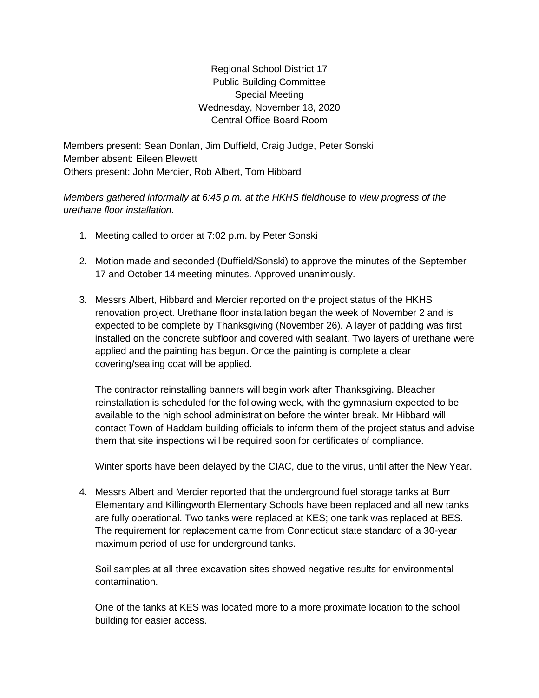Regional School District 17 Public Building Committee Special Meeting Wednesday, November 18, 2020 Central Office Board Room

Members present: Sean Donlan, Jim Duffield, Craig Judge, Peter Sonski Member absent: Eileen Blewett Others present: John Mercier, Rob Albert, Tom Hibbard

*Members gathered informally at 6:45 p.m. at the HKHS fieldhouse to view progress of the urethane floor installation.*

- 1. Meeting called to order at 7:02 p.m. by Peter Sonski
- 2. Motion made and seconded (Duffield/Sonski) to approve the minutes of the September 17 and October 14 meeting minutes. Approved unanimously.
- 3. Messrs Albert, Hibbard and Mercier reported on the project status of the HKHS renovation project. Urethane floor installation began the week of November 2 and is expected to be complete by Thanksgiving (November 26). A layer of padding was first installed on the concrete subfloor and covered with sealant. Two layers of urethane were applied and the painting has begun. Once the painting is complete a clear covering/sealing coat will be applied.

The contractor reinstalling banners will begin work after Thanksgiving. Bleacher reinstallation is scheduled for the following week, with the gymnasium expected to be available to the high school administration before the winter break. Mr Hibbard will contact Town of Haddam building officials to inform them of the project status and advise them that site inspections will be required soon for certificates of compliance.

Winter sports have been delayed by the CIAC, due to the virus, until after the New Year.

4. Messrs Albert and Mercier reported that the underground fuel storage tanks at Burr Elementary and Killingworth Elementary Schools have been replaced and all new tanks are fully operational. Two tanks were replaced at KES; one tank was replaced at BES. The requirement for replacement came from Connecticut state standard of a 30-year maximum period of use for underground tanks.

Soil samples at all three excavation sites showed negative results for environmental contamination.

One of the tanks at KES was located more to a more proximate location to the school building for easier access.